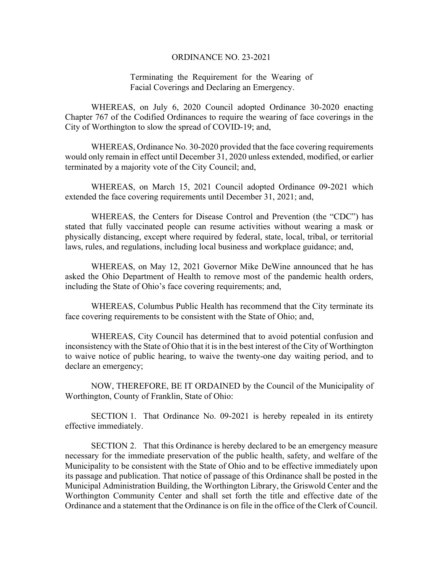## ORDINANCE NO. 23-2021

## Terminating the Requirement for the Wearing of Facial Coverings and Declaring an Emergency.

WHEREAS, on July 6, 2020 Council adopted Ordinance 30-2020 enacting Chapter 767 of the Codified Ordinances to require the wearing of face coverings in the City of Worthington to slow the spread of COVID-19; and,

WHEREAS, Ordinance No. 30-2020 provided that the face covering requirements would only remain in effect until December 31, 2020 unless extended, modified, or earlier terminated by a majority vote of the City Council; and,

WHEREAS, on March 15, 2021 Council adopted Ordinance 09-2021 which extended the face covering requirements until December 31, 2021; and,

WHEREAS, the Centers for Disease Control and Prevention (the "CDC") has stated that fully vaccinated people can resume activities without wearing a mask or physically distancing, except where required by federal, state, local, tribal, or territorial laws, rules, and regulations, including local business and workplace guidance; and,

WHEREAS, on May 12, 2021 Governor Mike DeWine announced that he has asked the Ohio Department of Health to remove most of the pandemic health orders, including the State of Ohio's face covering requirements; and,

WHEREAS, Columbus Public Health has recommend that the City terminate its face covering requirements to be consistent with the State of Ohio; and,

WHEREAS, City Council has determined that to avoid potential confusion and inconsistency with the State of Ohio that it is in the best interest of the City of Worthington to waive notice of public hearing, to waive the twenty-one day waiting period, and to declare an emergency;

NOW, THEREFORE, BE IT ORDAINED by the Council of the Municipality of Worthington, County of Franklin, State of Ohio:

SECTION 1. That Ordinance No. 09-2021 is hereby repealed in its entirety effective immediately.

SECTION 2. That this Ordinance is hereby declared to be an emergency measure necessary for the immediate preservation of the public health, safety, and welfare of the Municipality to be consistent with the State of Ohio and to be effective immediately upon its passage and publication. That notice of passage of this Ordinance shall be posted in the Municipal Administration Building, the Worthington Library, the Griswold Center and the Worthington Community Center and shall set forth the title and effective date of the Ordinance and a statement that the Ordinance is on file in the office of the Clerk of Council.